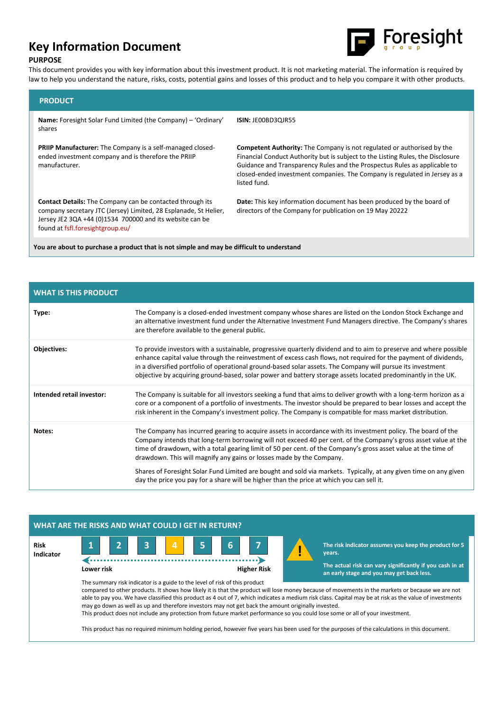# **Key Information Document**



## **PURPOSE**

This document provides you with key information about this investment product. It is not marketing material. The information is required by law to help you understand the nature, risks, costs, potential gains and losses of this product and to help you compare it with other products.

| <b>PRODUCT</b>                                                                                                                                                                                                                       |                                                                                                                                                                                                                                                                                                                                             |  |  |  |
|--------------------------------------------------------------------------------------------------------------------------------------------------------------------------------------------------------------------------------------|---------------------------------------------------------------------------------------------------------------------------------------------------------------------------------------------------------------------------------------------------------------------------------------------------------------------------------------------|--|--|--|
| <b>Name:</b> Foresight Solar Fund Limited (the Company) – 'Ordinary'<br>shares                                                                                                                                                       | <b>ISIN: JEOOBD3QJR55</b>                                                                                                                                                                                                                                                                                                                   |  |  |  |
| <b>PRIIP Manufacturer:</b> The Company is a self-managed closed-<br>ended investment company and is therefore the PRIIP<br>manufacturer.                                                                                             | <b>Competent Authority:</b> The Company is not regulated or authorised by the<br>Financial Conduct Authority but is subject to the Listing Rules, the Disclosure<br>Guidance and Transparency Rules and the Prospectus Rules as applicable to<br>closed-ended investment companies. The Company is regulated in Jersey as a<br>listed fund. |  |  |  |
| <b>Contact Details:</b> The Company can be contacted through its<br>company secretary JTC (Jersey) Limited, 28 Esplanade, St Helier,<br>Jersey JE2 3QA +44 (0)1534 700000 and its website can be<br>found at fsfl.foresightgroup.eu/ | Date: This key information document has been produced by the board of<br>directors of the Company for publication on 19 May 20222                                                                                                                                                                                                           |  |  |  |
| You are about to purchase a product that is not simple and may be difficult to understand                                                                                                                                            |                                                                                                                                                                                                                                                                                                                                             |  |  |  |

| <b>WHAT IS THIS PRODUCT</b> |                                                                                                                                                                                                                                                                                                                                                                                                                                                                     |
|-----------------------------|---------------------------------------------------------------------------------------------------------------------------------------------------------------------------------------------------------------------------------------------------------------------------------------------------------------------------------------------------------------------------------------------------------------------------------------------------------------------|
| Type:                       | The Company is a closed-ended investment company whose shares are listed on the London Stock Exchange and<br>an alternative investment fund under the Alternative Investment Fund Managers directive. The Company's shares<br>are therefore available to the general public.                                                                                                                                                                                        |
| Objectives:                 | To provide investors with a sustainable, progressive quarterly dividend and to aim to preserve and where possible<br>enhance capital value through the reinvestment of excess cash flows, not required for the payment of dividends,<br>in a diversified portfolio of operational ground-based solar assets. The Company will pursue its investment<br>objective by acquiring ground-based, solar power and battery storage assets located predominantly in the UK. |
| Intended retail investor:   | The Company is suitable for all investors seeking a fund that aims to deliver growth with a long-term horizon as a<br>core or a component of a portfolio of investments. The investor should be prepared to bear losses and accept the<br>risk inherent in the Company's investment policy. The Company is compatible for mass market distribution.                                                                                                                 |
| Notes:                      | The Company has incurred gearing to acquire assets in accordance with its investment policy. The board of the<br>Company intends that long-term borrowing will not exceed 40 per cent. of the Company's gross asset value at the<br>time of drawdown, with a total gearing limit of 50 per cent. of the Company's gross asset value at the time of<br>drawdown. This will magnify any gains or losses made by the Company.                                          |
|                             | Shares of Foresight Solar Fund Limited are bought and sold via markets. Typically, at any given time on any given<br>day the price you pay for a share will be higher than the price at which you can sell it.                                                                                                                                                                                                                                                      |

# **WHAT ARE THE RISKS AND WHAT COULD I GET IN RETURN?**





**The risk indicator assumes you keep the product for 5**

**The actual risk can vary significantly if you cash in at an early stage and you may get back less.** 

The summary risk indicator is a guide to the level of risk of this product compared to other products. It shows how likely it is that the product will lose money because of movements in the markets or because we are not able to pay you. We have classified this product as 4 out of 7, which indicates a medium risk class. Capital may be at risk as the value of investments may go down as well as up and therefore investors may not get back the amount originally invested. This product does not include any protection from future market performance so you could lose some or all of your investment.

**!**

This product has no required minimum holding period, however five years has been used for the purposes of the calculations in this document.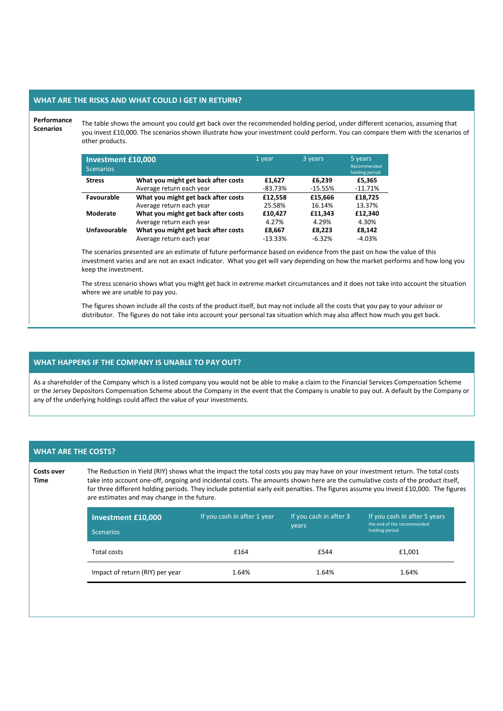### **WHAT ARE THE RISKS AND WHAT COULD I GET IN RETURN?**

## **Performance**

**Scenarios**

The table shows the amount you could get back over the recommended holding period, under different scenarios, assuming that you invest £10,000. The scenarios shown illustrate how your investment could perform. You can compare them with the scenarios of other products.

| <b>Investment £10,000</b><br><b>Scenarios</b> |                                     | 1 year    | 3 years   | 5 years<br>Recommended<br>holding period |
|-----------------------------------------------|-------------------------------------|-----------|-----------|------------------------------------------|
| <b>Stress</b>                                 | What you might get back after costs | £1.627    | £6.239    | £5,365                                   |
|                                               | Average return each year            | $-83.73%$ | $-15.55%$ | $-11.71%$                                |
| Favourable                                    | What you might get back after costs | £12.558   | £15.666   | £18.725                                  |
|                                               | Average return each year            | 25.58%    | 16.14%    | 13.37%                                   |
| <b>Moderate</b>                               | What you might get back after costs | £10,427   | £11,343   | £12,340                                  |
|                                               | Average return each year            | 4.27%     | 4.29%     | 4.30%                                    |
| Unfavourable                                  | What you might get back after costs | £8,667    | £8,223    | £8,142                                   |
|                                               | Average return each year            | $-13.33%$ | $-6.32%$  | $-4.03%$                                 |

The scenarios presented are an estimate of future performance based on evidence from the past on how the value of this investment varies and are not an exact indicator. What you get will vary depending on how the market performs and how long you keep the investment.

The stress scenario shows what you might get back in extreme market circumstances and it does not take into account the situation where we are unable to pay you.

The figures shown include all the costs of the product itself, but may not include all the costs that you pay to your advisor or distributor. The figures do not take into account your personal tax situation which may also affect how much you get back.

## **WHAT HAPPENS IF THE COMPANY IS UNABLE TO PAY OUT?**

As a shareholder of the Company which is a listed company you would not be able to make a claim to the Financial Services Compensation Scheme or the Jersey Depositors Compensation Scheme about the Company in the event that the Company is unable to pay out. A default by the Company or any of the underlying holdings could affect the value of your investments.

#### **WHAT ARE THE COSTS?**

**Costs over Time**

The Reduction in Yield (RIY) shows what the impact the total costs you pay may have on your investment return. The total costs take into account one-off, ongoing and incidental costs. The amounts shown here are the cumulative costs of the product itself, for three different holding periods. They include potential early exit penalties. The figures assume you invest £10,000. The figures are estimates and may change in the future.

| <b>Investment £10,000</b><br><b>Scenarios</b> | If you cash in after 1 year | If you cash in after 3<br>years | If you cash in after 5 years<br>the end of the recommended<br>holding period |
|-----------------------------------------------|-----------------------------|---------------------------------|------------------------------------------------------------------------------|
| Total costs                                   | £164                        | £544                            | £1,001                                                                       |
| Impact of return (RIY) per year               | 1.64%                       | 1.64%                           | 1.64%                                                                        |